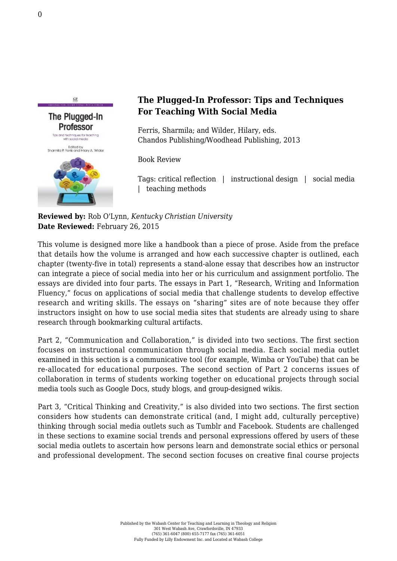The Plugged-In **Professor** Tips and techniques for teaching with social media Edited by<br>Sharmila P. Ferris and Hilary A. Wilder

 $C<sub>P</sub>$ 

## **The Plugged-In Professor: Tips and Techniques For Teaching With Social Media**

Ferris, Sharmila; and Wilder, Hilary, eds. [Chandos Publishing/Woodhead Publishing, 2013](http://www.chandospublishingonline.com/content/x4l121/?p=a674c92414e1460eaacf6f29f53d8a36&pi=1)

Book Review

Tags: critical reflection | instructional design | social media | teaching methods

**Reviewed by:** Rob O'Lynn, *Kentucky Christian University* **Date Reviewed:** February 26, 2015

This volume is designed more like a handbook than a piece of prose. Aside from the preface that details how the volume is arranged and how each successive chapter is outlined, each chapter (twenty-five in total) represents a stand-alone essay that describes how an instructor can integrate a piece of social media into her or his curriculum and assignment portfolio. The essays are divided into four parts. The essays in Part 1, "Research, Writing and Information Fluency," focus on applications of social media that challenge students to develop effective research and writing skills. The essays on "sharing" sites are of note because they offer instructors insight on how to use social media sites that students are already using to share research through bookmarking cultural artifacts.

Part 2, "Communication and Collaboration," is divided into two sections. The first section focuses on instructional communication through social media. Each social media outlet examined in this section is a communicative tool (for example, Wimba or YouTube) that can be re-allocated for educational purposes. The second section of Part 2 concerns issues of collaboration in terms of students working together on educational projects through social media tools such as Google Docs, study blogs, and group-designed wikis.

Part 3, "Critical Thinking and Creativity," is also divided into two sections. The first section considers how students can demonstrate critical (and, I might add, culturally perceptive) thinking through social media outlets such as Tumblr and Facebook. Students are challenged in these sections to examine social trends and personal expressions offered by users of these social media outlets to ascertain how persons learn and demonstrate social ethics or personal and professional development. The second section focuses on creative final course projects